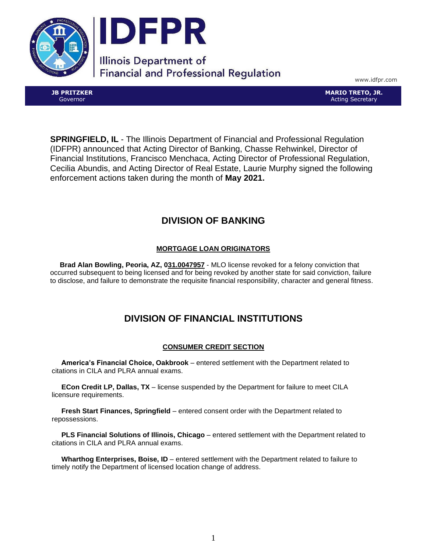

www.idfpr.com

**JB PRITZKER** Governor

**MARIO TRETO, JR.** Acting Secretary

**SPRINGFIELD, IL** - The Illinois Department of Financial and Professional Regulation (IDFPR) announced that Acting Director of Banking, Chasse Rehwinkel, Director of Financial Institutions, Francisco Menchaca, Acting Director of Professional Regulation, Cecilia Abundis, and Acting Director of Real Estate, Laurie Murphy signed the following enforcement actions taken during the month of **May 2021.**

# **DIVISION OF BANKING**

# **MORTGAGE LOAN ORIGINATORS**

 **Brad Alan Bowling, Peoria, AZ, [031.0047957](https://www.idfpr.com/banks/resfin/discipline/LO2021/Bowling%5b55622%5d_Redacted.pdf)** - MLO license revoked for a felony conviction that occurred subsequent to being licensed and for being revoked by another state for said conviction, failure to disclose, and failure to demonstrate the requisite financial responsibility, character and general fitness.

# **DIVISION OF FINANCIAL INSTITUTIONS**

## **CONSUMER CREDIT SECTION**

 **America's Financial Choice, Oakbrook** – entered settlement with the Department related to citations in CILA and PLRA annual exams.

 **ECon Credit LP, Dallas, TX** – license suspended by the Department for failure to meet CILA licensure requirements.

 **Fresh Start Finances, Springfield** – entered consent order with the Department related to repossessions.

 **PLS Financial Solutions of Illinois, Chicago** – entered settlement with the Department related to citations in CILA and PLRA annual exams.

 **Wharthog Enterprises, Boise, ID** – entered settlement with the Department related to failure to timely notify the Department of licensed location change of address.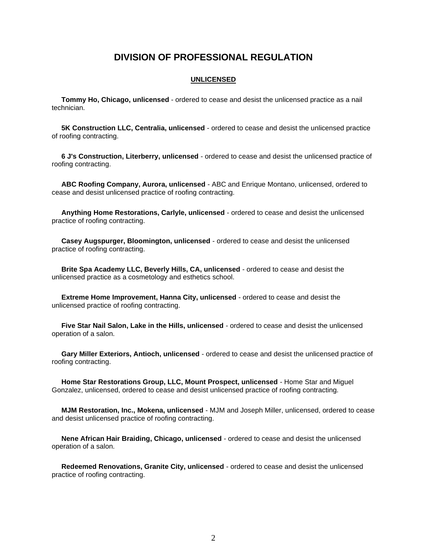# **DIVISION OF PROFESSIONAL REGULATION**

#### **UNLICENSED**

 **Tommy Ho, Chicago, unlicensed** - ordered to cease and desist the unlicensed practice as a nail technician.

 **5K Construction LLC, Centralia, unlicensed** - ordered to cease and desist the unlicensed practice of roofing contracting.

 **6 J's Construction, Literberry, unlicensed** - ordered to cease and desist the unlicensed practice of roofing contracting.

 **ABC Roofing Company, Aurora, unlicensed** - ABC and Enrique Montano, unlicensed, ordered to cease and desist unlicensed practice of roofing contracting.

 **Anything Home Restorations, Carlyle, unlicensed** - ordered to cease and desist the unlicensed practice of roofing contracting.

 **Casey Augspurger, Bloomington, unlicensed** - ordered to cease and desist the unlicensed practice of roofing contracting.

 **Brite Spa Academy LLC, Beverly Hills, CA, unlicensed** - ordered to cease and desist the unlicensed practice as a cosmetology and esthetics school.

 **Extreme Home Improvement, Hanna City, unlicensed** - ordered to cease and desist the unlicensed practice of roofing contracting.

 **Five Star Nail Salon, Lake in the Hills, unlicensed** - ordered to cease and desist the unlicensed operation of a salon.

 **Gary Miller Exteriors, Antioch, unlicensed** - ordered to cease and desist the unlicensed practice of roofing contracting.

 **Home Star Restorations Group, LLC, Mount Prospect, unlicensed** - Home Star and Miguel Gonzalez, unlicensed, ordered to cease and desist unlicensed practice of roofing contracting.

 **MJM Restoration, Inc., Mokena, unlicensed** - MJM and Joseph Miller, unlicensed, ordered to cease and desist unlicensed practice of roofing contracting.

 **Nene African Hair Braiding, Chicago, unlicensed** - ordered to cease and desist the unlicensed operation of a salon.

 **Redeemed Renovations, Granite City, unlicensed** - ordered to cease and desist the unlicensed practice of roofing contracting.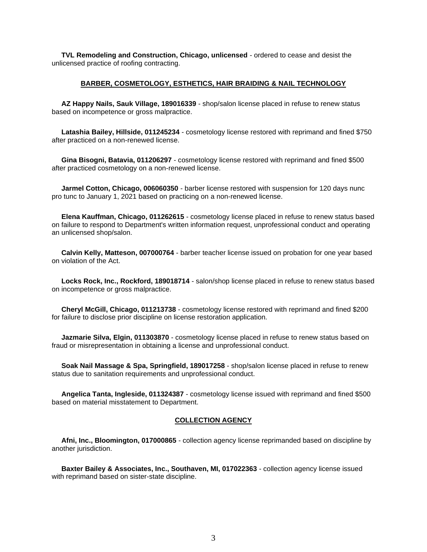**TVL Remodeling and Construction, Chicago, unlicensed** - ordered to cease and desist the unlicensed practice of roofing contracting.

### **BARBER, COSMETOLOGY, ESTHETICS, HAIR BRAIDING & NAIL TECHNOLOGY**

 **AZ Happy Nails, Sauk Village, 189016339** - shop/salon license placed in refuse to renew status based on incompetence or gross malpractice.

 **Latashia Bailey, Hillside, 011245234** - cosmetology license restored with reprimand and fined \$750 after practiced on a non-renewed license.

 **Gina Bisogni, Batavia, 011206297** - cosmetology license restored with reprimand and fined \$500 after practiced cosmetology on a non-renewed license.

 **Jarmel Cotton, Chicago, 006060350** - barber license restored with suspension for 120 days nunc pro tunc to January 1, 2021 based on practicing on a non-renewed license.

 **Elena Kauffman, Chicago, 011262615** - cosmetology license placed in refuse to renew status based on failure to respond to Department's written information request, unprofessional conduct and operating an unlicensed shop/salon.

 **Calvin Kelly, Matteson, 007000764** - barber teacher license issued on probation for one year based on violation of the Act.

 **Locks Rock, Inc., Rockford, 189018714** - salon/shop license placed in refuse to renew status based on incompetence or gross malpractice.

 **Cheryl McGill, Chicago, 011213738** - cosmetology license restored with reprimand and fined \$200 for failure to disclose prior discipline on license restoration application.

 **Jazmarie Silva, Elgin, 011303870** - cosmetology license placed in refuse to renew status based on fraud or misrepresentation in obtaining a license and unprofessional conduct.

 **Soak Nail Massage & Spa, Springfield, 189017258** - shop/salon license placed in refuse to renew status due to sanitation requirements and unprofessional conduct.

 **Angelica Tanta, Ingleside, 011324387** - cosmetology license issued with reprimand and fined \$500 based on material misstatement to Department.

#### **COLLECTION AGENCY**

 **Afni, Inc., Bloomington, 017000865** - collection agency license reprimanded based on discipline by another jurisdiction.

 **Baxter Bailey & Associates, Inc., Southaven, MI, 017022363** - collection agency license issued with reprimand based on sister-state discipline.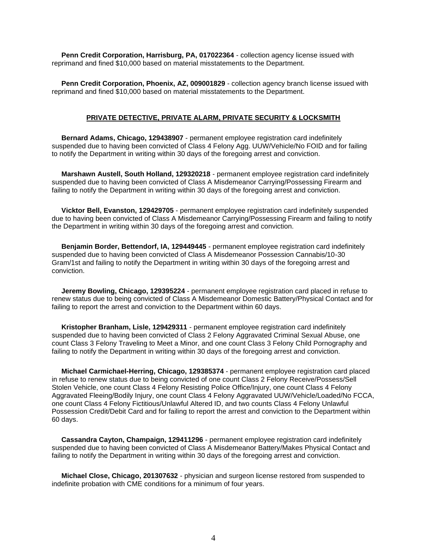**Penn Credit Corporation, Harrisburg, PA, 017022364** - collection agency license issued with reprimand and fined \$10,000 based on material misstatements to the Department.

 **Penn Credit Corporation, Phoenix, AZ, 009001829** - collection agency branch license issued with reprimand and fined \$10,000 based on material misstatements to the Department.

#### **PRIVATE DETECTIVE, PRIVATE ALARM, PRIVATE SECURITY & LOCKSMITH**

 **Bernard Adams, Chicago, 129438907** - permanent employee registration card indefinitely suspended due to having been convicted of Class 4 Felony Agg. UUW/Vehicle/No FOID and for failing to notify the Department in writing within 30 days of the foregoing arrest and conviction.

 **Marshawn Austell, South Holland, 129320218** - permanent employee registration card indefinitely suspended due to having been convicted of Class A Misdemeanor Carrying/Possessing Firearm and failing to notify the Department in writing within 30 days of the foregoing arrest and conviction.

 **Vicktor Bell, Evanston, 129429705** - permanent employee registration card indefinitely suspended due to having been convicted of Class A Misdemeanor Carrying/Possessing Firearm and failing to notify the Department in writing within 30 days of the foregoing arrest and conviction.

 **Benjamin Border, Bettendorf, IA, 129449445** - permanent employee registration card indefinitely suspended due to having been convicted of Class A Misdemeanor Possession Cannabis/10-30 Gram/1st and failing to notify the Department in writing within 30 days of the foregoing arrest and conviction.

 **Jeremy Bowling, Chicago, 129395224** - permanent employee registration card placed in refuse to renew status due to being convicted of Class A Misdemeanor Domestic Battery/Physical Contact and for failing to report the arrest and conviction to the Department within 60 days.

 **Kristopher Branham, Lisle, 129429311** - permanent employee registration card indefinitely suspended due to having been convicted of Class 2 Felony Aggravated Criminal Sexual Abuse, one count Class 3 Felony Traveling to Meet a Minor, and one count Class 3 Felony Child Pornography and failing to notify the Department in writing within 30 days of the foregoing arrest and conviction.

 **Michael Carmichael-Herring, Chicago, 129385374** - permanent employee registration card placed in refuse to renew status due to being convicted of one count Class 2 Felony Receive/Possess/Sell Stolen Vehicle, one count Class 4 Felony Resisting Police Office/Injury, one count Class 4 Felony Aggravated Fleeing/Bodily Injury, one count Class 4 Felony Aggravated UUW/Vehicle/Loaded/No FCCA, one count Class 4 Felony Fictitious/Unlawful Altered ID, and two counts Class 4 Felony Unlawful Possession Credit/Debit Card and for failing to report the arrest and conviction to the Department within 60 days.

 **Cassandra Cayton, Champaign, 129411296** - permanent employee registration card indefinitely suspended due to having been convicted of Class A Misdemeanor Battery/Makes Physical Contact and failing to notify the Department in writing within 30 days of the foregoing arrest and conviction.

 **Michael Close, Chicago, 201307632** - physician and surgeon license restored from suspended to indefinite probation with CME conditions for a minimum of four years.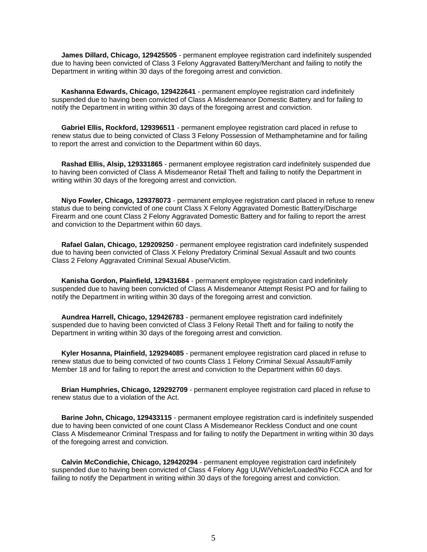**James Dillard, Chicago, 129425505** - permanent employee registration card indefinitely suspended due to having been convicted of Class 3 Felony Aggravated Battery/Merchant and failing to notify the Department in writing within 30 days of the foregoing arrest and conviction.

 **Kashanna Edwards, Chicago, 129422641** - permanent employee registration card indefinitely suspended due to having been convicted of Class A Misdemeanor Domestic Battery and for failing to notify the Department in writing within 30 days of the foregoing arrest and conviction.

 **Gabriel Ellis, Rockford, 129396511** - permanent employee registration card placed in refuse to renew status due to being convicted of Class 3 Felony Possession of Methamphetamine and for failing to report the arrest and conviction to the Department within 60 days.

 **Rashad Ellis, Alsip, 129331865** - permanent employee registration card indefinitely suspended due to having been convicted of Class A Misdemeanor Retail Theft and failing to notify the Department in writing within 30 days of the foregoing arrest and conviction.

 **Niyo Fowler, Chicago, 129378073** - permanent employee registration card placed in refuse to renew status due to being convicted of one count Class X Felony Aggravated Domestic Battery/Discharge Firearm and one count Class 2 Felony Aggravated Domestic Battery and for failing to report the arrest and conviction to the Department within 60 days.

 **Rafael Galan, Chicago, 129209250** - permanent employee registration card indefinitely suspended due to having been convicted of Class X Felony Predatory Criminal Sexual Assault and two counts Class 2 Felony Aggravated Criminal Sexual Abuse/Victim.

 **Kanisha Gordon, Plainfield, 129431684** - permanent employee registration card indefinitely suspended due to having been convicted of Class A Misdemeanor Attempt Resist PO and for failing to notify the Department in writing within 30 days of the foregoing arrest and conviction.

 **Aundrea Harrell, Chicago, 129426783** - permanent employee registration card indefinitely suspended due to having been convicted of Class 3 Felony Retail Theft and for failing to notify the Department in writing within 30 days of the foregoing arrest and conviction.

 **Kyler Hosanna, Plainfield, 129294085** - permanent employee registration card placed in refuse to renew status due to being convicted of two counts Class 1 Felony Criminal Sexual Assault/Family Member 18 and for failing to report the arrest and conviction to the Department within 60 days.

 **Brian Humphries, Chicago, 129292709** - permanent employee registration card placed in refuse to renew status due to a violation of the Act.

 **Barine John, Chicago, 129433115** - permanent employee registration card is indefinitely suspended due to having been convicted of one count Class A Misdemeanor Reckless Conduct and one count Class A Misdemeanor Criminal Trespass and for failing to notify the Department in writing within 30 days of the foregoing arrest and conviction.

 **Calvin McCondichie, Chicago, 129420294** - permanent employee registration card indefinitely suspended due to having been convicted of Class 4 Felony Agg UUW/Vehicle/Loaded/No FCCA and for failing to notify the Department in writing within 30 days of the foregoing arrest and conviction.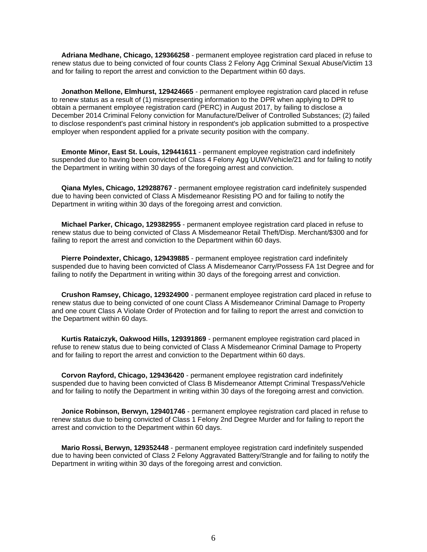**Adriana Medhane, Chicago, 129366258** - permanent employee registration card placed in refuse to renew status due to being convicted of four counts Class 2 Felony Agg Criminal Sexual Abuse/Victim 13 and for failing to report the arrest and conviction to the Department within 60 days.

 **Jonathon Mellone, Elmhurst, 129424665** - permanent employee registration card placed in refuse to renew status as a result of (1) misrepresenting information to the DPR when applying to DPR to obtain a permanent employee registration card (PERC) in August 2017, by failing to disclose a December 2014 Criminal Felony conviction for Manufacture/Deliver of Controlled Substances; (2) failed to disclose respondent's past criminal history in respondent's job application submitted to a prospective employer when respondent applied for a private security position with the company.

 **Emonte Minor, East St. Louis, 129441611** - permanent employee registration card indefinitely suspended due to having been convicted of Class 4 Felony Agg UUW/Vehicle/21 and for failing to notify the Department in writing within 30 days of the foregoing arrest and conviction.

 **Qiana Myles, Chicago, 129288767** - permanent employee registration card indefinitely suspended due to having been convicted of Class A Misdemeanor Resisting PO and for failing to notify the Department in writing within 30 days of the foregoing arrest and conviction.

 **Michael Parker, Chicago, 129382955** - permanent employee registration card placed in refuse to renew status due to being convicted of Class A Misdemeanor Retail Theft/Disp. Merchant/\$300 and for failing to report the arrest and conviction to the Department within 60 days.

 **Pierre Poindexter, Chicago, 129439885** - permanent employee registration card indefinitely suspended due to having been convicted of Class A Misdemeanor Carry/Possess FA 1st Degree and for failing to notify the Department in writing within 30 days of the foregoing arrest and conviction.

 **Crushon Ramsey, Chicago, 129324900** - permanent employee registration card placed in refuse to renew status due to being convicted of one count Class A Misdemeanor Criminal Damage to Property and one count Class A Violate Order of Protection and for failing to report the arrest and conviction to the Department within 60 days.

 **Kurtis Rataiczyk, Oakwood Hills, 129391869** - permanent employee registration card placed in refuse to renew status due to being convicted of Class A Misdemeanor Criminal Damage to Property and for failing to report the arrest and conviction to the Department within 60 days.

 **Corvon Rayford, Chicago, 129436420** - permanent employee registration card indefinitely suspended due to having been convicted of Class B Misdemeanor Attempt Criminal Trespass/Vehicle and for failing to notify the Department in writing within 30 days of the foregoing arrest and conviction.

 **Jonice Robinson, Berwyn, 129401746** - permanent employee registration card placed in refuse to renew status due to being convicted of Class 1 Felony 2nd Degree Murder and for failing to report the arrest and conviction to the Department within 60 days.

 **Mario Rossi, Berwyn, 129352448** - permanent employee registration card indefinitely suspended due to having been convicted of Class 2 Felony Aggravated Battery/Strangle and for failing to notify the Department in writing within 30 days of the foregoing arrest and conviction.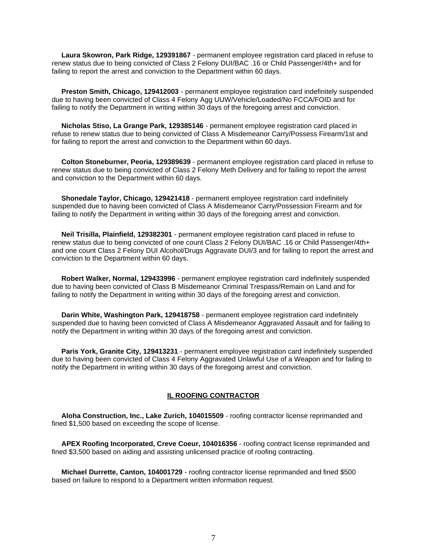**Laura Skowron, Park Ridge, 129391867** - permanent employee registration card placed in refuse to renew status due to being convicted of Class 2 Felony DUI/BAC .16 or Child Passenger/4th+ and for failing to report the arrest and conviction to the Department within 60 days.

 **Preston Smith, Chicago, 129412003** - permanent employee registration card indefinitely suspended due to having been convicted of Class 4 Felony Agg UUW/Vehicle/Loaded/No FCCA/FOID and for failing to notify the Department in writing within 30 days of the foregoing arrest and conviction.

 **Nicholas Stiso, La Grange Park, 129385146** - permanent employee registration card placed in refuse to renew status due to being convicted of Class A Misdemeanor Carry/Possess Firearm/1st and for failing to report the arrest and conviction to the Department within 60 days.

 **Colton Stoneburner, Peoria, 129389639** - permanent employee registration card placed in refuse to renew status due to being convicted of Class 2 Felony Meth Delivery and for failing to report the arrest and conviction to the Department within 60 days.

 **Shonedale Taylor, Chicago, 129421418** - permanent employee registration card indefinitely suspended due to having been convicted of Class A Misdemeanor Carry/Possession Firearm and for failing to notify the Department in writing within 30 days of the foregoing arrest and conviction.

 **Neil Trisilla, Plainfield, 129382301** - permanent employee registration card placed in refuse to renew status due to being convicted of one count Class 2 Felony DUI/BAC .16 or Child Passenger/4th+ and one count Class 2 Felony DUI Alcohol/Drugs Aggravate DUI/3 and for failing to report the arrest and conviction to the Department within 60 days.

 **Robert Walker, Normal, 129433996** - permanent employee registration card indefinitely suspended due to having been convicted of Class B Misdemeanor Criminal Trespass/Remain on Land and for failing to notify the Department in writing within 30 days of the foregoing arrest and conviction.

 **Darin White, Washington Park, 129418758** - permanent employee registration card indefinitely suspended due to having been convicted of Class A Misdemeanor Aggravated Assault and for failing to notify the Department in writing within 30 days of the foregoing arrest and conviction.

 **Paris York, Granite City, 129413231** - permanent employee registration card indefinitely suspended due to having been convicted of Class 4 Felony Aggravated Unlawful Use of a Weapon and for failing to notify the Department in writing within 30 days of the foregoing arrest and conviction.

### **IL ROOFING CONTRACTOR**

 **Aloha Construction, Inc., Lake Zurich, 104015509** - roofing contractor license reprimanded and fined \$1,500 based on exceeding the scope of license.

 **APEX Roofing Incorporated, Creve Coeur, 104016356** - roofing contract license reprimanded and fined \$3,500 based on aiding and assisting unlicensed practice of roofing contracting.

 **Michael Durrette, Canton, 104001729** - roofing contractor license reprimanded and fined \$500 based on failure to respond to a Department written information request.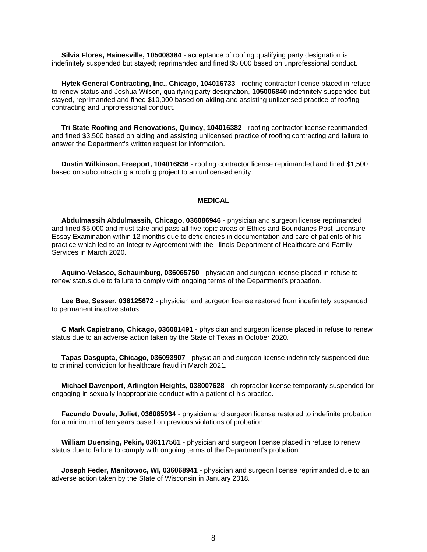**Silvia Flores, Hainesville, 105008384** - acceptance of roofing qualifying party designation is indefinitely suspended but stayed; reprimanded and fined \$5,000 based on unprofessional conduct.

 **Hytek General Contracting, Inc., Chicago, 104016733** - roofing contractor license placed in refuse to renew status and Joshua Wilson, qualifying party designation, **105006840** indefinitely suspended but stayed, reprimanded and fined \$10,000 based on aiding and assisting unlicensed practice of roofing contracting and unprofessional conduct.

 **Tri State Roofing and Renovations, Quincy, 104016382** - roofing contractor license reprimanded and fined \$3,500 based on aiding and assisting unlicensed practice of roofing contracting and failure to answer the Department's written request for information.

 **Dustin Wilkinson, Freeport, 104016836** - roofing contractor license reprimanded and fined \$1,500 based on subcontracting a roofing project to an unlicensed entity.

#### **MEDICAL**

 **Abdulmassih Abdulmassih, Chicago, 036086946** - physician and surgeon license reprimanded and fined \$5,000 and must take and pass all five topic areas of Ethics and Boundaries Post-Licensure Essay Examination within 12 months due to deficiencies in documentation and care of patients of his practice which led to an Integrity Agreement with the Illinois Department of Healthcare and Family Services in March 2020.

 **Aquino-Velasco, Schaumburg, 036065750** - physician and surgeon license placed in refuse to renew status due to failure to comply with ongoing terms of the Department's probation.

 **Lee Bee, Sesser, 036125672** - physician and surgeon license restored from indefinitely suspended to permanent inactive status.

 **C Mark Capistrano, Chicago, 036081491** - physician and surgeon license placed in refuse to renew status due to an adverse action taken by the State of Texas in October 2020.

 **Tapas Dasgupta, Chicago, 036093907** - physician and surgeon license indefinitely suspended due to criminal conviction for healthcare fraud in March 2021.

 **Michael Davenport, Arlington Heights, 038007628** - chiropractor license temporarily suspended for engaging in sexually inappropriate conduct with a patient of his practice.

 **Facundo Dovale, Joliet, 036085934** - physician and surgeon license restored to indefinite probation for a minimum of ten years based on previous violations of probation.

 **William Duensing, Pekin, 036117561** - physician and surgeon license placed in refuse to renew status due to failure to comply with ongoing terms of the Department's probation.

 **Joseph Feder, Manitowoc, WI, 036068941** - physician and surgeon license reprimanded due to an adverse action taken by the State of Wisconsin in January 2018.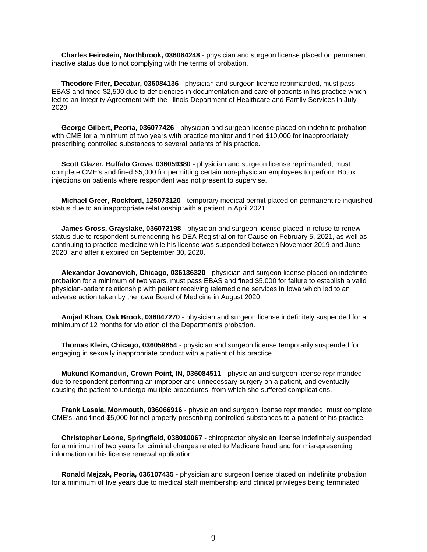**Charles Feinstein, Northbrook, 036064248** - physician and surgeon license placed on permanent inactive status due to not complying with the terms of probation.

 **Theodore Fifer, Decatur, 036084136** - physician and surgeon license reprimanded, must pass EBAS and fined \$2,500 due to deficiencies in documentation and care of patients in his practice which led to an Integrity Agreement with the Illinois Department of Healthcare and Family Services in July 2020.

 **George Gilbert, Peoria, 036077426** - physician and surgeon license placed on indefinite probation with CME for a minimum of two years with practice monitor and fined \$10,000 for inappropriately prescribing controlled substances to several patients of his practice.

 **Scott Glazer, Buffalo Grove, 036059380** - physician and surgeon license reprimanded, must complete CME's and fined \$5,000 for permitting certain non-physician employees to perform Botox injections on patients where respondent was not present to supervise.

 **Michael Greer, Rockford, 125073120** - temporary medical permit placed on permanent relinquished status due to an inappropriate relationship with a patient in April 2021.

 **James Gross, Grayslake, 036072198** - physician and surgeon license placed in refuse to renew status due to respondent surrendering his DEA Registration for Cause on February 5, 2021, as well as continuing to practice medicine while his license was suspended between November 2019 and June 2020, and after it expired on September 30, 2020.

 **Alexandar Jovanovich, Chicago, 036136320** - physician and surgeon license placed on indefinite probation for a minimum of two years, must pass EBAS and fined \$5,000 for failure to establish a valid physician-patient relationship with patient receiving telemedicine services in Iowa which led to an adverse action taken by the Iowa Board of Medicine in August 2020.

 **Amjad Khan, Oak Brook, 036047270** - physician and surgeon license indefinitely suspended for a minimum of 12 months for violation of the Department's probation.

 **Thomas Klein, Chicago, 036059654** - physician and surgeon license temporarily suspended for engaging in sexually inappropriate conduct with a patient of his practice.

 **Mukund Komanduri, Crown Point, IN, 036084511** - physician and surgeon license reprimanded due to respondent performing an improper and unnecessary surgery on a patient, and eventually causing the patient to undergo multiple procedures, from which she suffered complications.

 **Frank Lasala, Monmouth, 036066916** - physician and surgeon license reprimanded, must complete CME's, and fined \$5,000 for not properly prescribing controlled substances to a patient of his practice.

 **Christopher Leone, Springfield, 038010067** - chiropractor physician license indefinitely suspended for a minimum of two years for criminal charges related to Medicare fraud and for misrepresenting information on his license renewal application.

 **Ronald Mejzak, Peoria, 036107435** - physician and surgeon license placed on indefinite probation for a minimum of five years due to medical staff membership and clinical privileges being terminated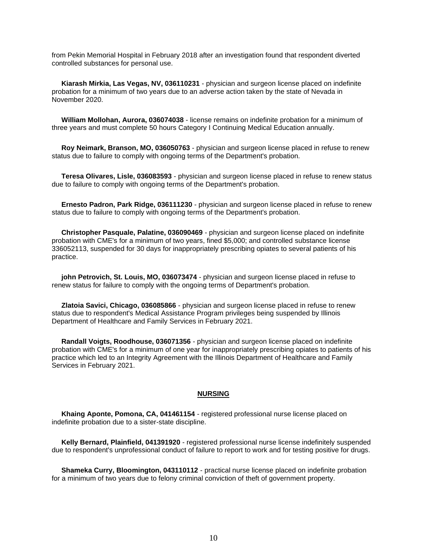from Pekin Memorial Hospital in February 2018 after an investigation found that respondent diverted controlled substances for personal use.

 **Kiarash Mirkia, Las Vegas, NV, 036110231** - physician and surgeon license placed on indefinite probation for a minimum of two years due to an adverse action taken by the state of Nevada in November 2020.

 **William Mollohan, Aurora, 036074038** - license remains on indefinite probation for a minimum of three years and must complete 50 hours Category I Continuing Medical Education annually.

 **Roy Neimark, Branson, MO, 036050763** - physician and surgeon license placed in refuse to renew status due to failure to comply with ongoing terms of the Department's probation.

 **Teresa Olivares, Lisle, 036083593** - physician and surgeon license placed in refuse to renew status due to failure to comply with ongoing terms of the Department's probation.

 **Ernesto Padron, Park Ridge, 036111230** - physician and surgeon license placed in refuse to renew status due to failure to comply with ongoing terms of the Department's probation.

 **Christopher Pasquale, Palatine, 036090469** - physician and surgeon license placed on indefinite probation with CME's for a minimum of two years, fined \$5,000; and controlled substance license 336052113, suspended for 30 days for inappropriately prescribing opiates to several patients of his practice.

 **john Petrovich, St. Louis, MO, 036073474** - physician and surgeon license placed in refuse to renew status for failure to comply with the ongoing terms of Department's probation.

 **Zlatoia Savici, Chicago, 036085866** - physician and surgeon license placed in refuse to renew status due to respondent's Medical Assistance Program privileges being suspended by Illinois Department of Healthcare and Family Services in February 2021.

 **Randall Voigts, Roodhouse, 036071356** - physician and surgeon license placed on indefinite probation with CME's for a minimum of one year for inappropriately prescribing opiates to patients of his practice which led to an Integrity Agreement with the Illinois Department of Healthcare and Family Services in February 2021.

#### **NURSING**

 **Khaing Aponte, Pomona, CA, 041461154** - registered professional nurse license placed on indefinite probation due to a sister-state discipline.

 **Kelly Bernard, Plainfield, 041391920** - registered professional nurse license indefinitely suspended due to respondent's unprofessional conduct of failure to report to work and for testing positive for drugs.

 **Shameka Curry, Bloomington, 043110112** - practical nurse license placed on indefinite probation for a minimum of two years due to felony criminal conviction of theft of government property.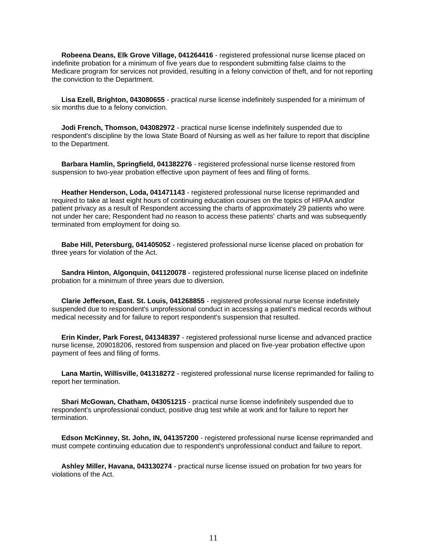**Robeena Deans, Elk Grove Village, 041264416** - registered professional nurse license placed on indefinite probation for a minimum of five years due to respondent submitting false claims to the Medicare program for services not provided, resulting in a felony conviction of theft, and for not reporting the conviction to the Department.

 **Lisa Ezell, Brighton, 043080655** - practical nurse license indefinitely suspended for a minimum of six months due to a felony conviction.

 **Jodi French, Thomson, 043082972** - practical nurse license indefinitely suspended due to respondent's discipline by the Iowa State Board of Nursing as well as her failure to report that discipline to the Department.

 **Barbara Hamlin, Springfield, 041382276** - registered professional nurse license restored from suspension to two-year probation effective upon payment of fees and filing of forms.

 **Heather Henderson, Loda, 041471143** - registered professional nurse license reprimanded and required to take at least eight hours of continuing education courses on the topics of HIPAA and/or patient privacy as a result of Respondent accessing the charts of approximately 29 patients who were not under her care; Respondent had no reason to access these patients' charts and was subsequently terminated from employment for doing so.

 **Babe Hill, Petersburg, 041405052** - registered professional nurse license placed on probation for three years for violation of the Act.

 **Sandra Hinton, Algonquin, 041120078** - registered professional nurse license placed on indefinite probation for a minimum of three years due to diversion.

 **Clarie Jefferson, East. St. Louis, 041268855** - registered professional nurse license indefinitely suspended due to respondent's unprofessional conduct in accessing a patient's medical records without medical necessity and for failure to report respondent's suspension that resulted.

 **Erin Kinder, Park Forest, 041348397** - registered professional nurse license and advanced practice nurse license, 209018206, restored from suspension and placed on five-year probation effective upon payment of fees and filing of forms.

 **Lana Martin, Willisville, 041318272** - registered professional nurse license reprimanded for failing to report her termination.

 **Shari McGowan, Chatham, 043051215** - practical nurse license indefinitely suspended due to respondent's unprofessional conduct, positive drug test while at work and for failure to report her termination.

 **Edson McKinney, St. John, IN, 041357200** - registered professional nurse license reprimanded and must compete continuing education due to respondent's unprofessional conduct and failure to report.

 **Ashley Miller, Havana, 043130274** - practical nurse license issued on probation for two years for violations of the Act.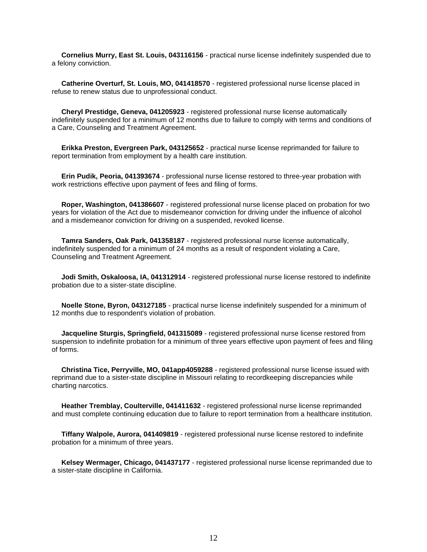**Cornelius Murry, East St. Louis, 043116156** - practical nurse license indefinitely suspended due to a felony conviction.

 **Catherine Overturf, St. Louis, MO, 041418570** - registered professional nurse license placed in refuse to renew status due to unprofessional conduct.

 **Cheryl Prestidge, Geneva, 041205923** - registered professional nurse license automatically indefinitely suspended for a minimum of 12 months due to failure to comply with terms and conditions of a Care, Counseling and Treatment Agreement.

 **Erikka Preston, Evergreen Park, 043125652** - practical nurse license reprimanded for failure to report termination from employment by a health care institution.

 **Erin Pudik, Peoria, 041393674** - professional nurse license restored to three-year probation with work restrictions effective upon payment of fees and filing of forms.

 **Roper, Washington, 041386607** - registered professional nurse license placed on probation for two years for violation of the Act due to misdemeanor conviction for driving under the influence of alcohol and a misdemeanor conviction for driving on a suspended, revoked license.

 **Tamra Sanders, Oak Park, 041358187** - registered professional nurse license automatically, indefinitely suspended for a minimum of 24 months as a result of respondent violating a Care, Counseling and Treatment Agreement.

 **Jodi Smith, Oskaloosa, IA, 041312914** - registered professional nurse license restored to indefinite probation due to a sister-state discipline.

 **Noelle Stone, Byron, 043127185** - practical nurse license indefinitely suspended for a minimum of 12 months due to respondent's violation of probation.

 **Jacqueline Sturgis, Springfield, 041315089** - registered professional nurse license restored from suspension to indefinite probation for a minimum of three years effective upon payment of fees and filing of forms.

 **Christina Tice, Perryville, MO, 041app4059288** - registered professional nurse license issued with reprimand due to a sister-state discipline in Missouri relating to recordkeeping discrepancies while charting narcotics.

 **Heather Tremblay, Coulterville, 041411632** - registered professional nurse license reprimanded and must complete continuing education due to failure to report termination from a healthcare institution.

 **Tiffany Walpole, Aurora, 041409819** - registered professional nurse license restored to indefinite probation for a minimum of three years.

 **Kelsey Wermager, Chicago, 041437177** - registered professional nurse license reprimanded due to a sister-state discipline in California.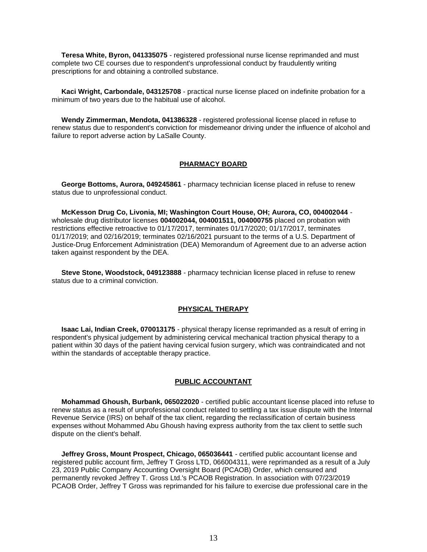**Teresa White, Byron, 041335075** - registered professional nurse license reprimanded and must complete two CE courses due to respondent's unprofessional conduct by fraudulently writing prescriptions for and obtaining a controlled substance.

 **Kaci Wright, Carbondale, 043125708** - practical nurse license placed on indefinite probation for a minimum of two years due to the habitual use of alcohol.

 **Wendy Zimmerman, Mendota, 041386328** - registered professional license placed in refuse to renew status due to respondent's conviction for misdemeanor driving under the influence of alcohol and failure to report adverse action by LaSalle County.

#### **PHARMACY BOARD**

 **George Bottoms, Aurora, 049245861** - pharmacy technician license placed in refuse to renew status due to unprofessional conduct.

 **McKesson Drug Co, Livonia, MI; Washington Court House, OH; Aurora, CO, 004002044** wholesale drug distributor licenses **004002044, 004001511, 004000755** placed on probation with restrictions effective retroactive to 01/17/2017, terminates 01/17/2020; 01/17/2017, terminates 01/17/2019; and 02/16/2019; terminates 02/16/2021 pursuant to the terms of a U.S. Department of Justice-Drug Enforcement Administration (DEA) Memorandum of Agreement due to an adverse action taken against respondent by the DEA.

 **Steve Stone, Woodstock, 049123888** - pharmacy technician license placed in refuse to renew status due to a criminal conviction.

#### **PHYSICAL THERAPY**

 **Isaac Lai, Indian Creek, 070013175** - physical therapy license reprimanded as a result of erring in respondent's physical judgement by administering cervical mechanical traction physical therapy to a patient within 30 days of the patient having cervical fusion surgery, which was contraindicated and not within the standards of acceptable therapy practice.

## **PUBLIC ACCOUNTANT**

 **Mohammad Ghoush, Burbank, 065022020** - certified public accountant license placed into refuse to renew status as a result of unprofessional conduct related to settling a tax issue dispute with the Internal Revenue Service (IRS) on behalf of the tax client, regarding the reclassification of certain business expenses without Mohammed Abu Ghoush having express authority from the tax client to settle such dispute on the client's behalf.

 **Jeffrey Gross, Mount Prospect, Chicago, 065036441** - certified public accountant license and registered public account firm, Jeffrey T Gross LTD, 066004311, were reprimanded as a result of a July 23, 2019 Public Company Accounting Oversight Board (PCAOB) Order, which censured and permanently revoked Jeffrey T. Gross Ltd.'s PCAOB Registration. In association with 07/23/2019 PCAOB Order, Jeffrey T Gross was reprimanded for his failure to exercise due professional care in the